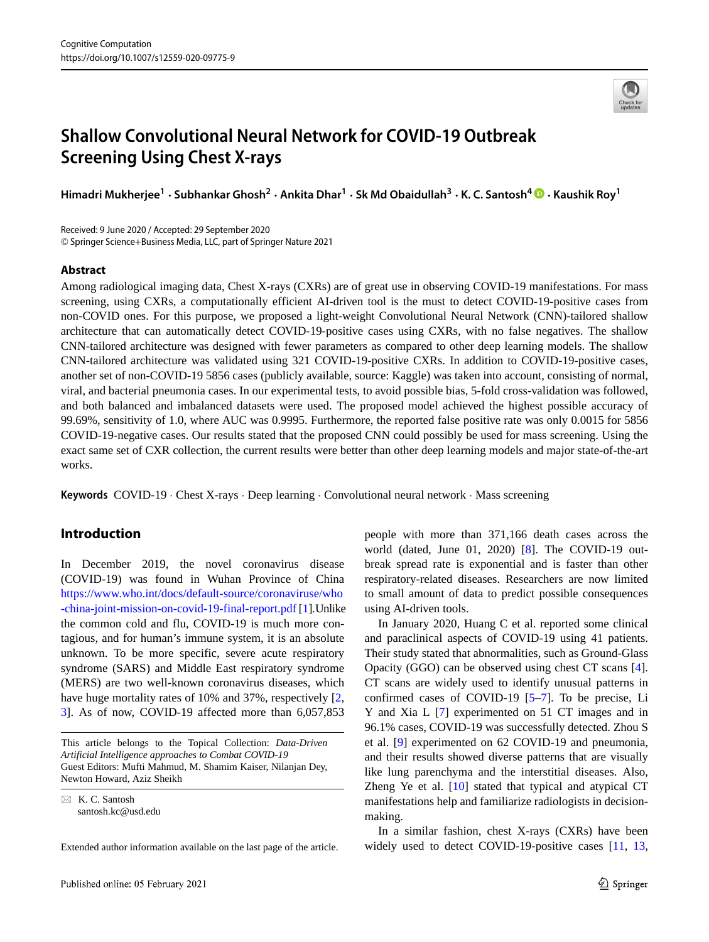

# **Shallow Convolutional Neural Network for COVID-19 Outbreak Screening Using Chest X-rays**

**Himadri Mukherjee<sup>1</sup> · Subhankar Ghosh<sup>2</sup> · Ankita Dhar<sup>1</sup> · Sk Md Obaidullah<sup>3</sup> · K. C. Santosh<sup>4</sup> · Kaushik Roy<sup>1</sup>**

Received: 9 June 2020 / Accepted: 29 September 2020 © Springer Science+Business Media, LLC, part of Springer Nature 2021

#### **Abstract**

Among radiological imaging data, Chest X-rays (CXRs) are of great use in observing COVID-19 manifestations. For mass screening, using CXRs, a computationally efficient AI-driven tool is the must to detect COVID-19-positive cases from non-COVID ones. For this purpose, we proposed a light-weight Convolutional Neural Network (CNN)-tailored shallow architecture that can automatically detect COVID-19-positive cases using CXRs, with no false negatives. The shallow CNN-tailored architecture was designed with fewer parameters as compared to other deep learning models. The shallow CNN-tailored architecture was validated using 321 COVID-19-positive CXRs. In addition to COVID-19-positive cases, another set of non-COVID-19 5856 cases (publicly available, source: Kaggle) was taken into account, consisting of normal, viral, and bacterial pneumonia cases. In our experimental tests, to avoid possible bias, 5-fold cross-validation was followed, and both balanced and imbalanced datasets were used. The proposed model achieved the highest possible accuracy of 99.69%, sensitivity of 1.0, where AUC was 0.9995. Furthermore, the reported false positive rate was only 0.0015 for 5856 COVID-19-negative cases. Our results stated that the proposed CNN could possibly be used for mass screening. Using the exact same set of CXR collection, the current results were better than other deep learning models and major state-of-the-art works.

**Keywords** COVID-19 · Chest X-rays · Deep learning · Convolutional neural network · Mass screening

## **Introduction**

In December 2019, the novel coronavirus disease (COVID-19) was found in Wuhan Province of China [https://www.who.int/docs/default-source/coronaviruse/who](https://www.who.int/docs/default-source/coronaviruse/who-china-joint-mission-on-covid-19-final-report.pdf) [-china-joint-mission-on-covid-19-final-report.pdf](https://www.who.int/docs/default-source/coronaviruse/who-china-joint-mission-on-covid-19-final-report.pdf) [\[1\]](#page-11-0).Unlike the common cold and flu, COVID-19 is much more contagious, and for human's immune system, it is an absolute unknown. To be more specific, severe acute respiratory syndrome (SARS) and Middle East respiratory syndrome (MERS) are two well-known coronavirus diseases, which have huge mortality rates of 10% and 37%, respectively  $[2, 1]$  $[2, 1]$ [3\]](#page-11-2). As of now, COVID-19 affected more than 6,057,853

This article belongs to the Topical Collection: *Data-Driven Artificial Intelligence approaches to Combat COVID-19* Guest Editors: Mufti Mahmud, M. Shamim Kaiser, Nilanjan Dey, Newton Howard, Aziz Sheikh

- K. C. Santosh [santosh.kc@usd.edu](mailto: santosh.kc@usd.edu)

Extended author information available on the last page of the article.

people with more than 371,166 death cases across the world (dated, June 01, 2020) [\[8\]](#page-11-3). The COVID-19 outbreak spread rate is exponential and is faster than other respiratory-related diseases. Researchers are now limited to small amount of data to predict possible consequences using AI-driven tools.

In January 2020, Huang C et al. reported some clinical and paraclinical aspects of COVID-19 using 41 patients. Their study stated that abnormalities, such as Ground-Glass Opacity (GGO) can be observed using chest CT scans [\[4\]](#page-11-4). CT scans are widely used to identify unusual patterns in confirmed cases of COVID-19 [\[5](#page-11-5)[–7\]](#page-11-6). To be precise, Li Y and Xia L [\[7\]](#page-11-6) experimented on 51 CT images and in 96.1% cases, COVID-19 was successfully detected. Zhou S et al. [\[9\]](#page-11-7) experimented on 62 COVID-19 and pneumonia, and their results showed diverse patterns that are visually like lung parenchyma and the interstitial diseases. Also, Zheng Ye et al. [\[10\]](#page-11-8) stated that typical and atypical CT manifestations help and familiarize radiologists in decisionmaking.

In a similar fashion, chest X-rays (CXRs) have been widely used to detect COVID-19-positive cases [\[11,](#page-11-9) [13,](#page-11-10)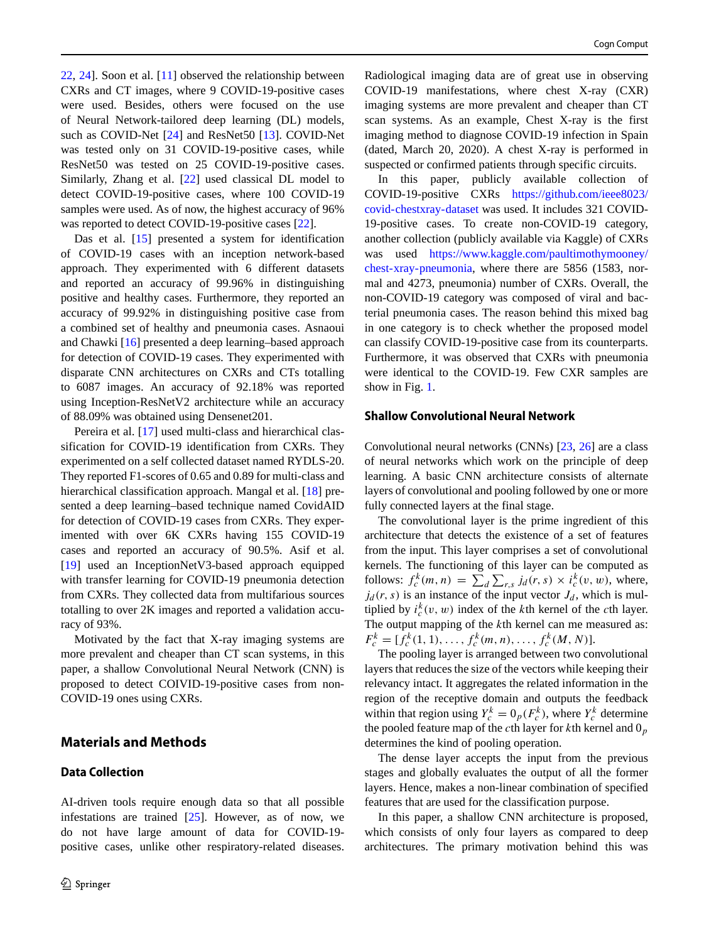[22,](#page-11-11) [24\]](#page-11-12). Soon et al. [\[11\]](#page-11-9) observed the relationship between CXRs and CT images, where 9 COVID-19-positive cases were used. Besides, others were focused on the use of Neural Network-tailored deep learning (DL) models, such as COVID-Net [\[24\]](#page-11-12) and ResNet50 [\[13\]](#page-11-10). COVID-Net was tested only on 31 COVID-19-positive cases, while ResNet50 was tested on 25 COVID-19-positive cases. Similarly, Zhang et al. [\[22\]](#page-11-11) used classical DL model to detect COVID-19-positive cases, where 100 COVID-19 samples were used. As of now, the highest accuracy of 96% was reported to detect COVID-19-positive cases [\[22\]](#page-11-11).

Das et al. [\[15\]](#page-11-13) presented a system for identification of COVID-19 cases with an inception network-based approach. They experimented with 6 different datasets and reported an accuracy of 99.96% in distinguishing positive and healthy cases. Furthermore, they reported an accuracy of 99.92% in distinguishing positive case from a combined set of healthy and pneumonia cases. Asnaoui and Chawki [\[16\]](#page-11-14) presented a deep learning–based approach for detection of COVID-19 cases. They experimented with disparate CNN architectures on CXRs and CTs totalling to 6087 images. An accuracy of 92.18% was reported using Inception-ResNetV2 architecture while an accuracy of 88.09% was obtained using Densenet201.

Pereira et al. [\[17\]](#page-11-15) used multi-class and hierarchical classification for COVID-19 identification from CXRs. They experimented on a self collected dataset named RYDLS-20. They reported F1-scores of 0.65 and 0.89 for multi-class and hierarchical classification approach. Mangal et al. [\[18\]](#page-11-16) presented a deep learning–based technique named CovidAID for detection of COVID-19 cases from CXRs. They experimented with over 6K CXRs having 155 COVID-19 cases and reported an accuracy of 90.5%. Asif et al. [\[19\]](#page-11-17) used an InceptionNetV3-based approach equipped with transfer learning for COVID-19 pneumonia detection from CXRs. They collected data from multifarious sources totalling to over 2K images and reported a validation accuracy of 93%.

Motivated by the fact that X-ray imaging systems are more prevalent and cheaper than CT scan systems, in this paper, a shallow Convolutional Neural Network (CNN) is proposed to detect COIVID-19-positive cases from non-COVID-19 ones using CXRs.

# **Materials and Methods**

## <span id="page-1-0"></span>**Data Collection**

AI-driven tools require enough data so that all possible infestations are trained [\[25\]](#page-11-18). However, as of now, we do not have large amount of data for COVID-19 positive cases, unlike other respiratory-related diseases.

Radiological imaging data are of great use in observing COVID-19 manifestations, where chest X-ray (CXR) imaging systems are more prevalent and cheaper than CT scan systems. As an example, Chest X-ray is the first imaging method to diagnose COVID-19 infection in Spain (dated, March 20, 2020). A chest X-ray is performed in suspected or confirmed patients through specific circuits.

In this paper, publicly available collection of COVID-19-positive CXRs [https://github.com/ieee8023/](https://github.com/ieee8023/covid-chestxray-dataset) [covid-chestxray-dataset](https://github.com/ieee8023/covid-chestxray-dataset) was used. It includes 321 COVID-19-positive cases. To create non-COVID-19 category, another collection (publicly available via Kaggle) of CXRs was used [https://www.kaggle.com/paultimothymooney/](https://www.kaggle.com/paultimothymooney/chest-xray-pneumonia) [chest-xray-pneumonia,](https://www.kaggle.com/paultimothymooney/chest-xray-pneumonia) where there are 5856 (1583, normal and 4273, pneumonia) number of CXRs. Overall, the non-COVID-19 category was composed of viral and bacterial pneumonia cases. The reason behind this mixed bag in one category is to check whether the proposed model can classify COVID-19-positive case from its counterparts. Furthermore, it was observed that CXRs with pneumonia were identical to the COVID-19. Few CXR samples are show in Fig. [1.](#page-2-0)

#### **Shallow Convolutional Neural Network**

Convolutional neural networks (CNNs) [\[23,](#page-11-19) [26\]](#page-11-20) are a class of neural networks which work on the principle of deep learning. A basic CNN architecture consists of alternate layers of convolutional and pooling followed by one or more fully connected layers at the final stage.

The convolutional layer is the prime ingredient of this architecture that detects the existence of a set of features from the input. This layer comprises a set of convolutional kernels. The functioning of this layer can be computed as follows:  $f_c^k(m, n) = \sum_d \sum_{r,s} j_d(r, s) \times i_c^k(v, w)$ , where,  $j_d(r, s)$  is an instance of the input vector  $J_d$ , which is multiplied by  $i_c^k(v, w)$  index of the *k*th kernel of the *c*th layer. The output mapping of the *k*th kernel can me measured as:  $F_c^k = [f_c^k(1, 1), \ldots, f_c^k(m, n), \ldots, f_c^k(M, N)].$ 

The pooling layer is arranged between two convolutional layers that reduces the size of the vectors while keeping their relevancy intact. It aggregates the related information in the region of the receptive domain and outputs the feedback within that region using  $Y_c^k = 0_p(F_c^k)$ , where  $Y_c^k$  determine the pooled feature map of the *c*th layer for *k*th kernel and 0*<sup>p</sup>* determines the kind of pooling operation.

The dense layer accepts the input from the previous stages and globally evaluates the output of all the former layers. Hence, makes a non-linear combination of specified features that are used for the classification purpose.

In this paper, a shallow CNN architecture is proposed, which consists of only four layers as compared to deep architectures. The primary motivation behind this was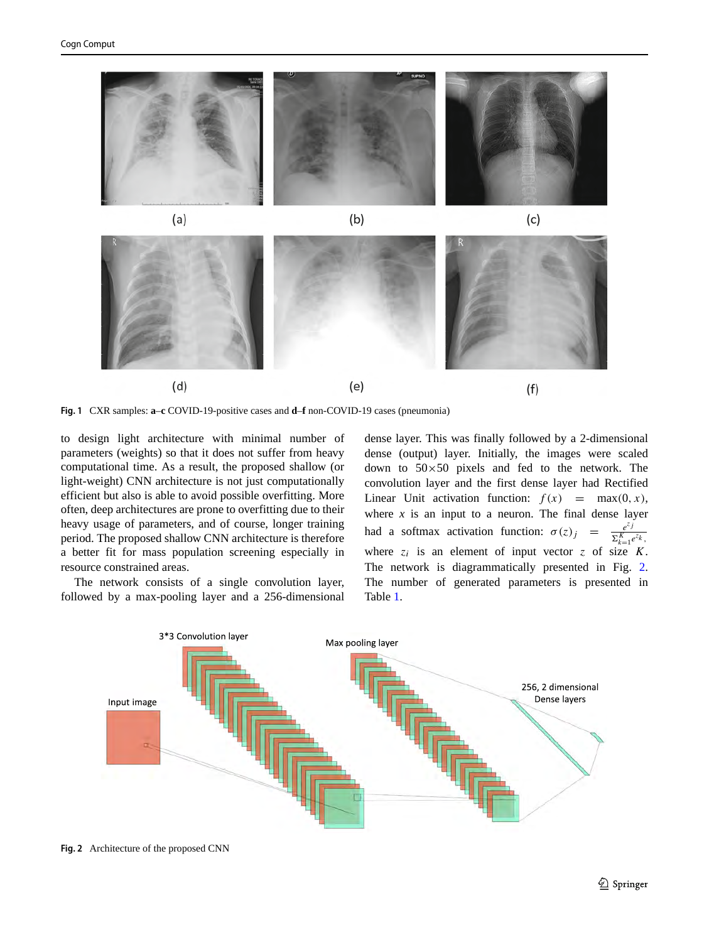<span id="page-2-0"></span>

**Fig. 1** CXR samples: **a**–**c** COVID-19-positive cases and **d**–**f** non-COVID-19 cases (pneumonia)

to design light architecture with minimal number of parameters (weights) so that it does not suffer from heavy computational time. As a result, the proposed shallow (or light-weight) CNN architecture is not just computationally efficient but also is able to avoid possible overfitting. More often, deep architectures are prone to overfitting due to their heavy usage of parameters, and of course, longer training period. The proposed shallow CNN architecture is therefore a better fit for mass population screening especially in resource constrained areas.

The network consists of a single convolution layer, followed by a max-pooling layer and a 256-dimensional dense layer. This was finally followed by a 2-dimensional dense (output) layer. Initially, the images were scaled down to  $50\times50$  pixels and fed to the network. The convolution layer and the first dense layer had Rectified Linear Unit activation function:  $f(x) = \max(0, x)$ , where  $x$  is an input to a neuron. The final dense layer had a softmax activation function:  $\sigma(z)_{j} = \frac{e^{z_{j}}}{\sum_{j=1}^{K}$  $\sum_{k=1}^K e^{z_k}$ where  $z_i$  is an element of input vector  $z$  of size  $K$ . The network is diagrammatically presented in Fig. [2.](#page-2-1) The number of generated parameters is presented in Table [1.](#page-3-0)

<span id="page-2-1"></span>

**Fig. 2** Architecture of the proposed CNN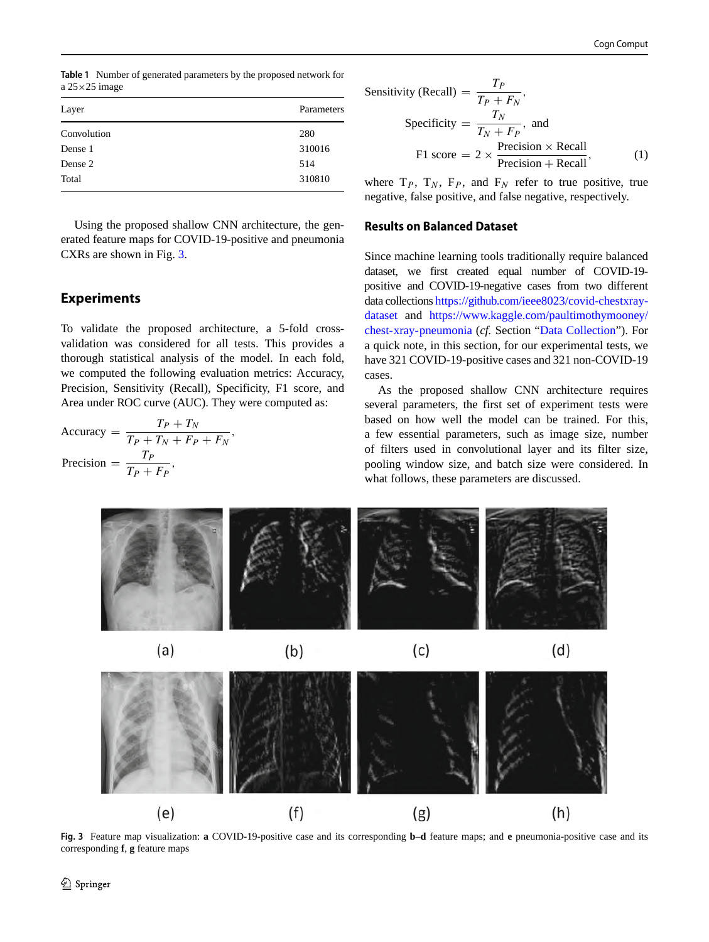<span id="page-3-0"></span>**Table 1** Number of generated parameters by the proposed network for a  $25 \times 25$  image

| Layer       | Parameters |
|-------------|------------|
| Convolution | 280        |
| Dense 1     | 310016     |
| Dense 2     | 514        |
| Total       | 310810     |

Using the proposed shallow CNN architecture, the generated feature maps for COVID-19-positive and pneumonia CXRs are shown in Fig. [3.](#page-3-1)

# **Experiments**

To validate the proposed architecture, a 5-fold crossvalidation was considered for all tests. This provides a thorough statistical analysis of the model. In each fold, we computed the following evaluation metrics: Accuracy, Precision, Sensitivity (Recall), Specificity, F1 score, and Area under ROC curve (AUC). They were computed as:

$$
\text{Accuracy} = \frac{T_P + T_N}{T_P + T_N + F_P + F_N},
$$
\n
$$
\text{Precision} = \frac{T_P}{T_P + F_P},
$$

Sensitivity (Recall) = 
$$
\frac{T_P}{T_P + F_N}
$$
,  
\nSpecificity =  $\frac{T_N}{T_N + F_P}$ , and  
\nF1 score =  $2 \times \frac{\text{Precision} \times \text{Recall}}{\text{Precision} + \text{Recall}}$ , (1)

where  $T_P$ ,  $T_N$ ,  $F_P$ , and  $F_N$  refer to true positive, true negative, false positive, and false negative, respectively.

#### **Results on Balanced Dataset**

Since machine learning tools traditionally require balanced dataset, we first created equal number of COVID-19 positive and COVID-19-negative cases from two different data collections [https://github.com/ieee8023/covid-chestxray](https://github.com/ieee8023/covid-chestxray-dataset)[dataset](https://github.com/ieee8023/covid-chestxray-dataset) and [https://www.kaggle.com/paultimothymooney/](https://www.kaggle.com/paultimothymooney/chest-xray-pneumonia) [chest-xray-pneumonia](https://www.kaggle.com/paultimothymooney/chest-xray-pneumonia) (*cf.* Section ["Data Collection"](#page-1-0)). For a quick note, in this section, for our experimental tests, we have 321 COVID-19-positive cases and 321 non-COVID-19 cases.

As the proposed shallow CNN architecture requires several parameters, the first set of experiment tests were based on how well the model can be trained. For this, a few essential parameters, such as image size, number of filters used in convolutional layer and its filter size, pooling window size, and batch size were considered. In what follows, these parameters are discussed.

<span id="page-3-1"></span>

**Fig. 3** Feature map visualization: **a** COVID-19-positive case and its corresponding **b**–**d** feature maps; and **e** pneumonia-positive case and its corresponding **f**, **g** feature maps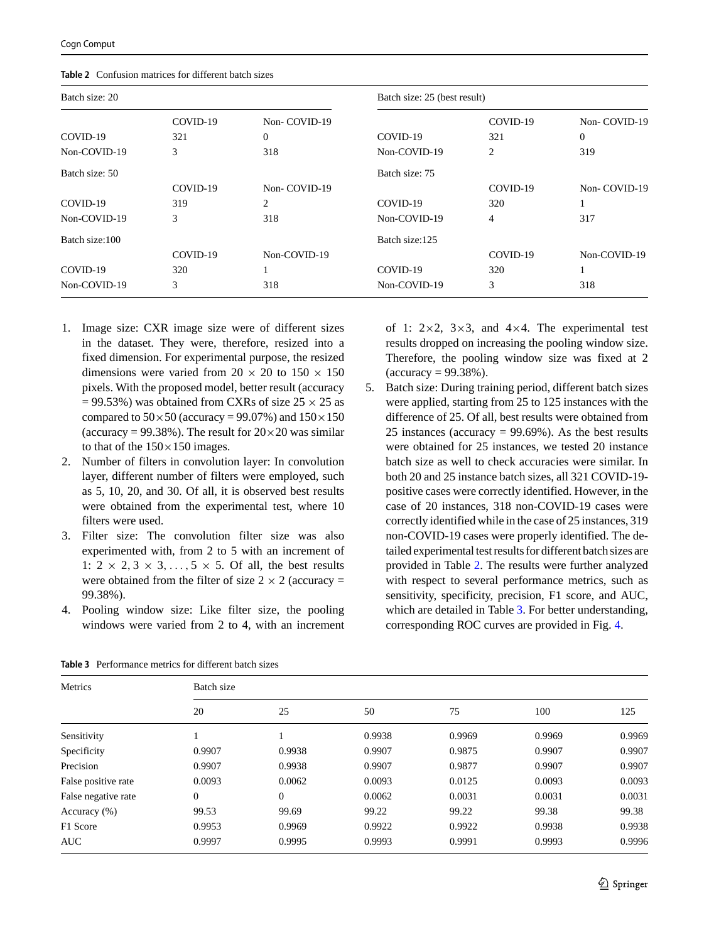| Batch size: 20 |          |              | Batch size: 25 (best result) |          |              |
|----------------|----------|--------------|------------------------------|----------|--------------|
|                | COVID-19 | Non-COVID-19 |                              | COVID-19 | Non-COVID-19 |
| COVID-19       | 321      | $\theta$     | COVID-19                     | 321      | 0            |
| Non-COVID-19   | 3        | 318          | Non-COVID-19                 | 2        | 319          |
| Batch size: 50 |          |              | Batch size: 75               |          |              |
|                | COVID-19 | Non-COVID-19 |                              | COVID-19 | Non-COVID-19 |
| COVID-19       | 319      | 2            | COVID-19                     | 320      |              |
| Non-COVID-19   | 3        | 318          | Non-COVID-19                 | 4        | 317          |
| Batch size:100 |          |              | Batch size:125               |          |              |
|                | COVID-19 | Non-COVID-19 |                              | COVID-19 | Non-COVID-19 |
| COVID-19       | 320      |              | COVID-19                     | 320      |              |
| Non-COVID-19   | 3        | 318          | Non-COVID-19                 | 3        | 318          |

<span id="page-4-0"></span>**Table 2** Confusion matrices for different batch sizes

- 1. Image size: CXR image size were of different sizes in the dataset. They were, therefore, resized into a fixed dimension. For experimental purpose, the resized dimensions were varied from  $20 \times 20$  to  $150 \times 150$ pixels. With the proposed model, better result (accuracy  $= 99.53\%$ ) was obtained from CXRs of size 25  $\times$  25 as compared to  $50 \times 50$  (accuracy = 99.07%) and  $150 \times 150$ (accuracy = 99.38%). The result for  $20 \times 20$  was similar to that of the  $150\times150$  images.
- 2. Number of filters in convolution layer: In convolution layer, different number of filters were employed, such as 5, 10, 20, and 30. Of all, it is observed best results were obtained from the experimental test, where 10 filters were used.
- 3. Filter size: The convolution filter size was also experimented with, from 2 to 5 with an increment of 1:  $2 \times 2$ ,  $3 \times 3$ , ...,  $5 \times 5$ . Of all, the best results were obtained from the filter of size  $2 \times 2$  (accuracy = 99.38%).
- 4. Pooling window size: Like filter size, the pooling windows were varied from 2 to 4, with an increment

of 1:  $2\times2$ ,  $3\times3$ , and  $4\times4$ . The experimental test results dropped on increasing the pooling window size. Therefore, the pooling window size was fixed at 2  $(\text{accuracy} = 99.38\%).$ 

5. Batch size: During training period, different batch sizes were applied, starting from 25 to 125 instances with the difference of 25. Of all, best results were obtained from 25 instances (accuracy  $= 99.69\%$ ). As the best results were obtained for 25 instances, we tested 20 instance batch size as well to check accuracies were similar. In both 20 and 25 instance batch sizes, all 321 COVID-19 positive cases were correctly identified. However, in the case of 20 instances, 318 non-COVID-19 cases were correctly identified while in the case of 25 instances, 319 non-COVID-19 cases were properly identified. The detailed experimental test results for different batch sizes are provided in Table [2.](#page-4-0) The results were further analyzed with respect to several performance metrics, such as sensitivity, specificity, precision, F1 score, and AUC, which are detailed in Table [3.](#page-4-1) For better understanding, corresponding ROC curves are provided in Fig. [4.](#page-5-0)

| Metrics             | Batch size     |                |        |        |        |        |
|---------------------|----------------|----------------|--------|--------|--------|--------|
|                     | 20             | 25             | 50     | 75     | 100    | 125    |
| Sensitivity         |                |                | 0.9938 | 0.9969 | 0.9969 | 0.9969 |
| Specificity         | 0.9907         | 0.9938         | 0.9907 | 0.9875 | 0.9907 | 0.9907 |
| Precision           | 0.9907         | 0.9938         | 0.9907 | 0.9877 | 0.9907 | 0.9907 |
| False positive rate | 0.0093         | 0.0062         | 0.0093 | 0.0125 | 0.0093 | 0.0093 |
| False negative rate | $\overline{0}$ | $\overline{0}$ | 0.0062 | 0.0031 | 0.0031 | 0.0031 |
| Accuracy (%)        | 99.53          | 99.69          | 99.22  | 99.22  | 99.38  | 99.38  |
| F1 Score            | 0.9953         | 0.9969         | 0.9922 | 0.9922 | 0.9938 | 0.9938 |
| <b>AUC</b>          | 0.9997         | 0.9995         | 0.9993 | 0.9991 | 0.9993 | 0.9996 |

<span id="page-4-1"></span>**Table 3** Performance metrics for different batch sizes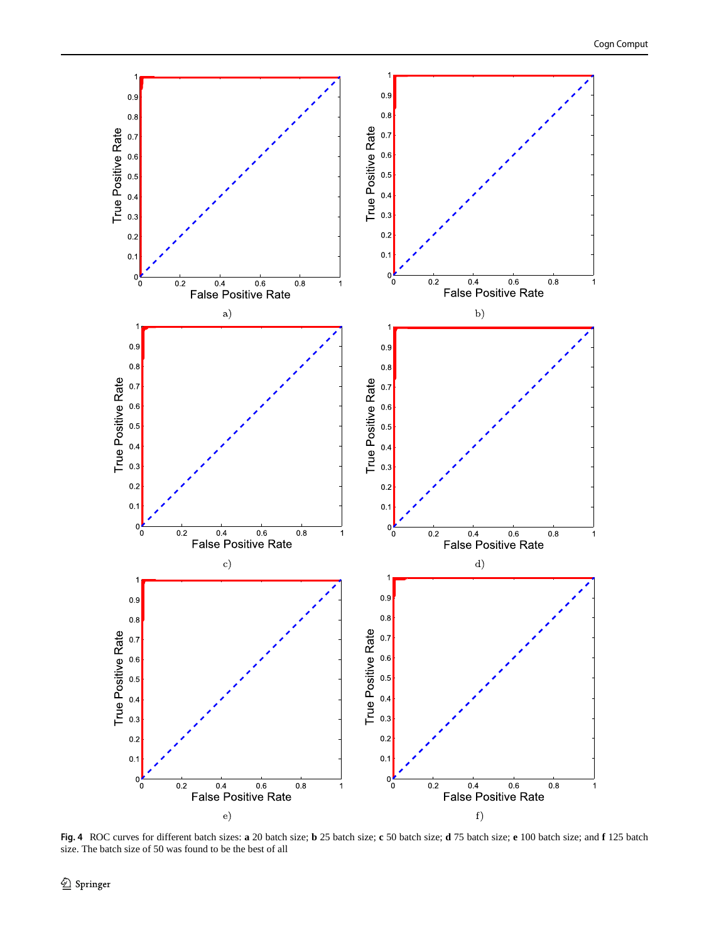<span id="page-5-0"></span>

**Fig. 4** ROC curves for different batch sizes: **a** 20 batch size; **b** 25 batch size; **c** 50 batch size; **d** 75 batch size; **e** 100 batch size; and **f** 125 batch size. The batch size of 50 was found to be the best of all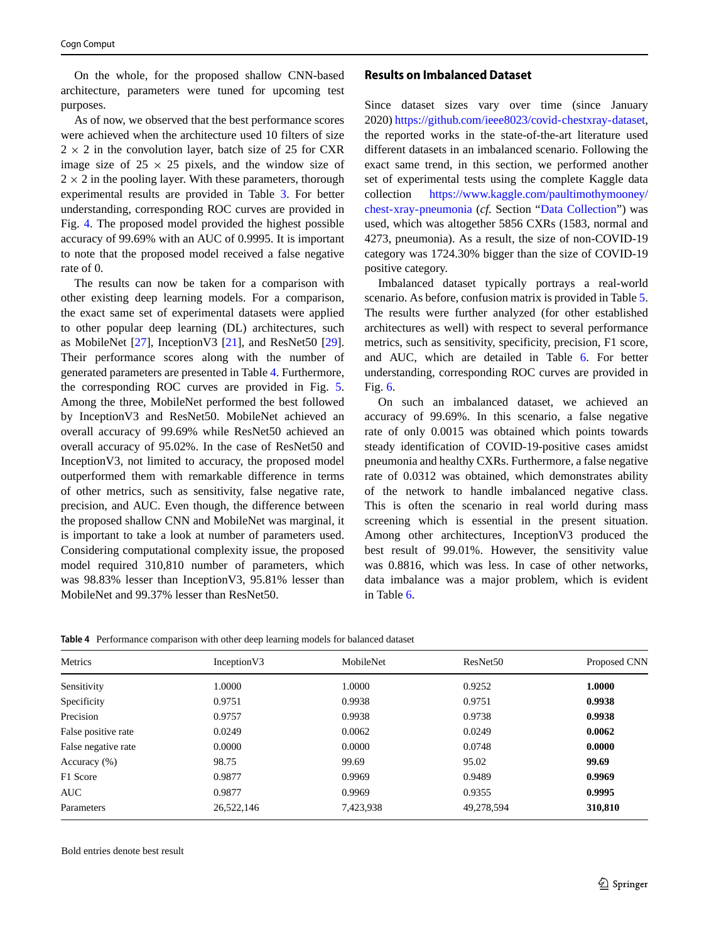On the whole, for the proposed shallow CNN-based architecture, parameters were tuned for upcoming test purposes.

As of now, we observed that the best performance scores were achieved when the architecture used 10 filters of size  $2 \times 2$  in the convolution layer, batch size of 25 for CXR image size of  $25 \times 25$  pixels, and the window size of  $2 \times 2$  in the pooling layer. With these parameters, thorough experimental results are provided in Table [3.](#page-4-1) For better understanding, corresponding ROC curves are provided in Fig. [4.](#page-5-0) The proposed model provided the highest possible accuracy of 99.69% with an AUC of 0.9995. It is important to note that the proposed model received a false negative rate of 0.

The results can now be taken for a comparison with other existing deep learning models. For a comparison, the exact same set of experimental datasets were applied to other popular deep learning (DL) architectures, such as MobileNet [\[27\]](#page-11-21), InceptionV3 [\[21\]](#page-11-22), and ResNet50 [\[29\]](#page-11-23). Their performance scores along with the number of generated parameters are presented in Table [4.](#page-6-0) Furthermore, the corresponding ROC curves are provided in Fig. [5.](#page-7-0) Among the three, MobileNet performed the best followed by InceptionV3 and ResNet50. MobileNet achieved an overall accuracy of 99.69% while ResNet50 achieved an overall accuracy of 95.02%. In the case of ResNet50 and InceptionV3, not limited to accuracy, the proposed model outperformed them with remarkable difference in terms of other metrics, such as sensitivity, false negative rate, precision, and AUC. Even though, the difference between the proposed shallow CNN and MobileNet was marginal, it is important to take a look at number of parameters used. Considering computational complexity issue, the proposed model required 310,810 number of parameters, which was 98.83% lesser than InceptionV3, 95.81% lesser than MobileNet and 99.37% lesser than ResNet50.

#### **Results on Imbalanced Dataset**

Since dataset sizes vary over time (since January 2020) [https://github.com/ieee8023/covid-chestxray-dataset,](https://github.com/ieee8023/covid-chestxray-dataset) the reported works in the state-of-the-art literature used different datasets in an imbalanced scenario. Following the exact same trend, in this section, we performed another set of experimental tests using the complete Kaggle data collection [https://www.kaggle.com/paultimothymooney/](https://www.kaggle.com/paultimothymooney/chest-xray-pneumonia) [chest-xray-pneumonia](https://www.kaggle.com/paultimothymooney/chest-xray-pneumonia) (*cf.* Section ["Data Collection"](#page-1-0)) was used, which was altogether 5856 CXRs (1583, normal and 4273, pneumonia). As a result, the size of non-COVID-19 category was 1724.30% bigger than the size of COVID-19 positive category.

Imbalanced dataset typically portrays a real-world scenario. As before, confusion matrix is provided in Table [5.](#page-7-1) The results were further analyzed (for other established architectures as well) with respect to several performance metrics, such as sensitivity, specificity, precision, F1 score, and AUC, which are detailed in Table [6.](#page-8-0) For better understanding, corresponding ROC curves are provided in Fig. [6.](#page-8-1)

On such an imbalanced dataset, we achieved an accuracy of 99.69%. In this scenario, a false negative rate of only 0.0015 was obtained which points towards steady identification of COVID-19-positive cases amidst pneumonia and healthy CXRs. Furthermore, a false negative rate of 0.0312 was obtained, which demonstrates ability of the network to handle imbalanced negative class. This is often the scenario in real world during mass screening which is essential in the present situation. Among other architectures, InceptionV3 produced the best result of 99.01%. However, the sensitivity value was 0.8816, which was less. In case of other networks, data imbalance was a major problem, which is evident in Table [6.](#page-8-0)

<span id="page-6-0"></span>**Table 4** Performance comparison with other deep learning models for balanced dataset

| Metrics             | Inception V3 | MobileNet | ResNet <sub>50</sub> | Proposed CNN |
|---------------------|--------------|-----------|----------------------|--------------|
| Sensitivity         | 1.0000       | 1.0000    | 0.9252               | 1.0000       |
| Specificity         | 0.9751       | 0.9938    | 0.9751               | 0.9938       |
| Precision           | 0.9757       | 0.9938    | 0.9738               | 0.9938       |
| False positive rate | 0.0249       | 0.0062    | 0.0249               | 0.0062       |
| False negative rate | 0.0000       | 0.0000    | 0.0748               | 0.0000       |
| Accuracy (%)        | 98.75        | 99.69     | 95.02                | 99.69        |
| F1 Score            | 0.9877       | 0.9969    | 0.9489               | 0.9969       |
| AUC.                | 0.9877       | 0.9969    | 0.9355               | 0.9995       |
| Parameters          | 26,522,146   | 7,423,938 | 49,278,594           | 310,810      |

Bold entries denote best result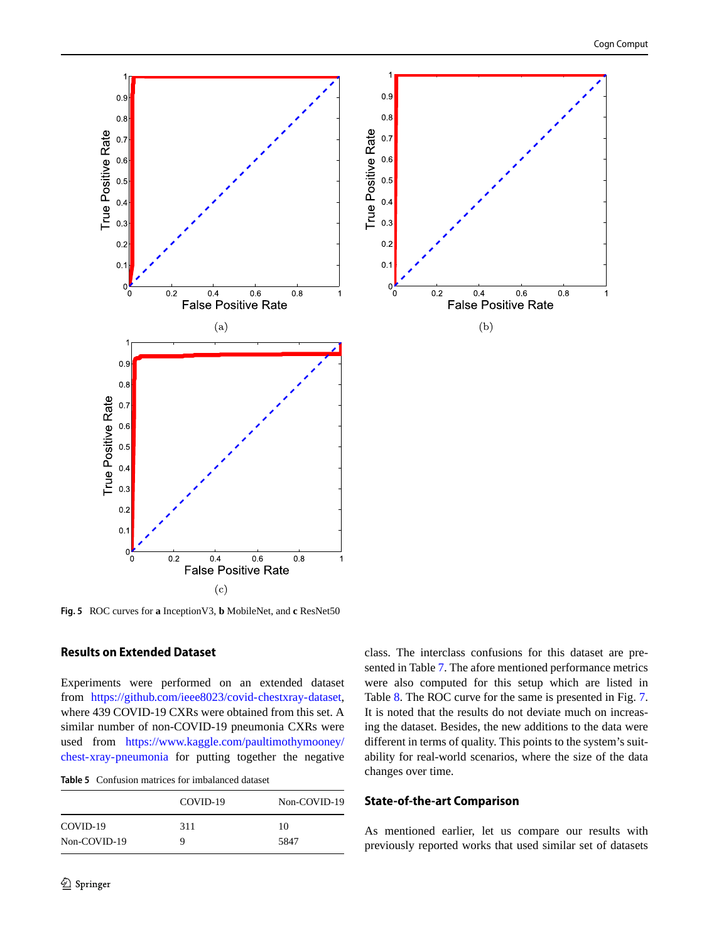<span id="page-7-0"></span>

**Fig. 5** ROC curves for **a** InceptionV3, **b** MobileNet, and **c** ResNet50

#### **Results on Extended Dataset**

Experiments were performed on an extended dataset from [https://github.com/ieee8023/covid-chestxray-dataset,](https://github.com/ieee8023/covid-chestxray-dataset) where 439 COVID-19 CXRs were obtained from this set. A similar number of non-COVID-19 pneumonia CXRs were used from [https://www.kaggle.com/paultimothymooney/](https://www.kaggle.com/paultimothymooney/chest-xray-pneumonia) [chest-xray-pneumonia](https://www.kaggle.com/paultimothymooney/chest-xray-pneumonia) for putting together the negative

<span id="page-7-1"></span>**Table 5** Confusion matrices for imbalanced dataset

|              | COVID-19 | Non-COVID-19 |
|--------------|----------|--------------|
| COVID-19     | 311      | 10           |
| Non-COVID-19 | 9        | 5847         |

class. The interclass confusions for this dataset are presented in Table [7.](#page-9-0) The afore mentioned performance metrics were also computed for this setup which are listed in Table [8.](#page-9-1) The ROC curve for the same is presented in Fig. [7.](#page-9-2) It is noted that the results do not deviate much on increasing the dataset. Besides, the new additions to the data were different in terms of quality. This points to the system's suitability for real-world scenarios, where the size of the data changes over time.

### **State-of-the-art Comparison**

As mentioned earlier, let us compare our results with previously reported works that used similar set of datasets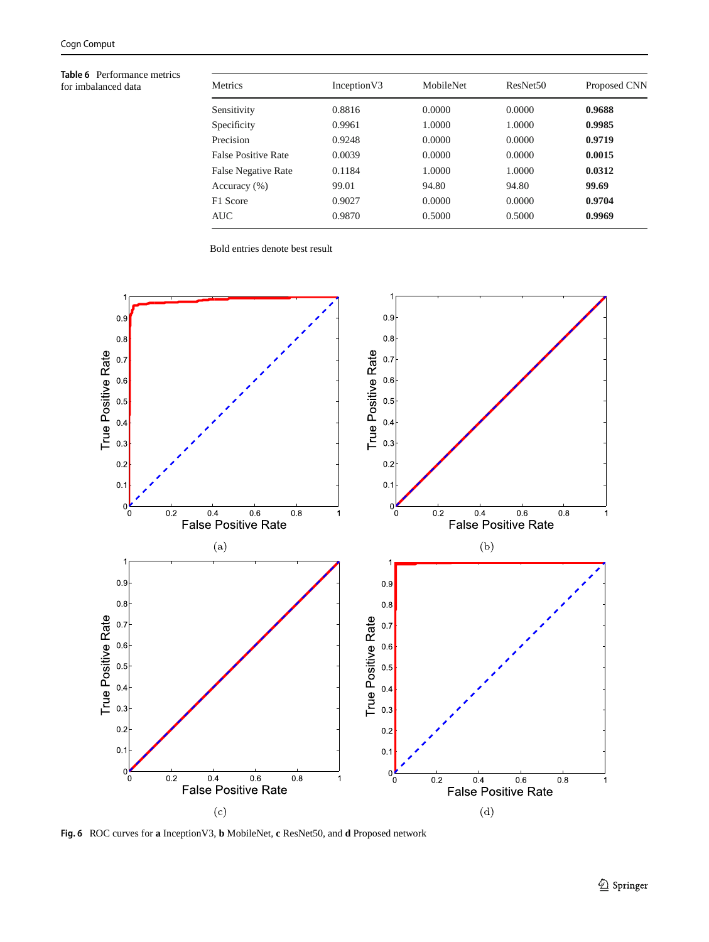<span id="page-8-0"></span>**Table 6** Performance metrics for imbalanced data

| Metrics                    | Inception V3 | MobileNet | ResNet <sub>50</sub> | Proposed CNN |
|----------------------------|--------------|-----------|----------------------|--------------|
| Sensitivity                | 0.8816       | 0.0000    | 0.0000               | 0.9688       |
| Specificity                | 0.9961       | 1.0000    | 1.0000               | 0.9985       |
| Precision                  | 0.9248       | 0.0000    | 0.0000               | 0.9719       |
| <b>False Positive Rate</b> | 0.0039       | 0.0000    | 0.0000               | 0.0015       |
| <b>False Negative Rate</b> | 0.1184       | 1.0000    | 1.0000               | 0.0312       |
| Accuracy (%)               | 99.01        | 94.80     | 94.80                | 99.69        |
| F1 Score                   | 0.9027       | 0.0000    | 0.0000               | 0.9704       |
| AUC                        | 0.9870       | 0.5000    | 0.5000               | 0.9969       |

Bold entries denote best result

<span id="page-8-1"></span>

**Fig. 6** ROC curves for **a** InceptionV3, **b** MobileNet, **c** ResNet50, and **d** Proposed network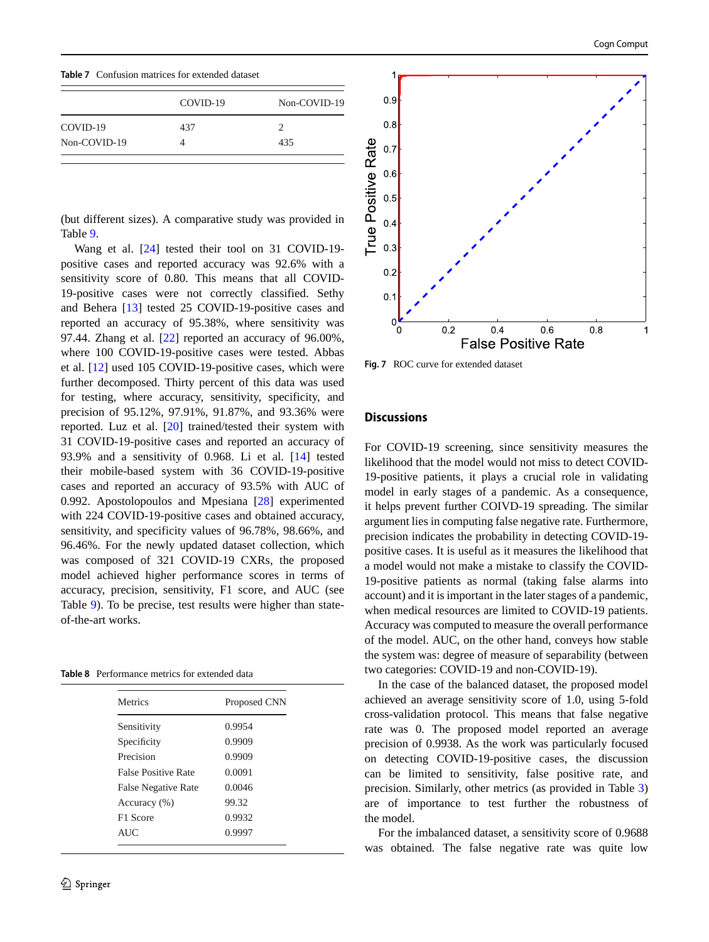<span id="page-9-0"></span>

|  | <b>Table 7</b> Confusion matrices for extended dataset |  |  |  |  |
|--|--------------------------------------------------------|--|--|--|--|
|--|--------------------------------------------------------|--|--|--|--|

|              | COVID-19 | Non-COVID-19 |
|--------------|----------|--------------|
| COVID-19     | 437      |              |
| Non-COVID-19 |          | 435          |

(but different sizes). A comparative study was provided in Table [9.](#page-10-0)

Wang et al. [\[24\]](#page-11-12) tested their tool on 31 COVID-19 positive cases and reported accuracy was 92.6% with a sensitivity score of 0.80. This means that all COVID-19-positive cases were not correctly classified. Sethy and Behera [\[13\]](#page-11-10) tested 25 COVID-19-positive cases and reported an accuracy of 95.38%, where sensitivity was 97.44. Zhang et al. [\[22\]](#page-11-11) reported an accuracy of 96.00%, where 100 COVID-19-positive cases were tested. Abbas et al. [\[12\]](#page-11-24) used 105 COVID-19-positive cases, which were further decomposed. Thirty percent of this data was used for testing, where accuracy, sensitivity, specificity, and precision of 95.12%, 97.91%, 91.87%, and 93.36% were reported. Luz et al. [\[20\]](#page-11-25) trained/tested their system with 31 COVID-19-positive cases and reported an accuracy of 93.9% and a sensitivity of 0.968. Li et al. [\[14\]](#page-11-26) tested their mobile-based system with 36 COVID-19-positive cases and reported an accuracy of 93.5% with AUC of 0.992. Apostolopoulos and Mpesiana [\[28\]](#page-11-27) experimented with 224 COVID-19-positive cases and obtained accuracy, sensitivity, and specificity values of 96.78%, 98.66%, and 96.46%. For the newly updated dataset collection, which was composed of 321 COVID-19 CXRs, the proposed model achieved higher performance scores in terms of accuracy, precision, sensitivity, F1 score, and AUC (see Table [9\)](#page-10-0). To be precise, test results were higher than stateof-the-art works.

<span id="page-9-1"></span>

| <b>Table 8</b> Performance metrics for extended data |  |
|------------------------------------------------------|--|
|------------------------------------------------------|--|

| Metrics                    | Proposed CNN |
|----------------------------|--------------|
| Sensitivity                | 0.9954       |
| Specificity                | 0.9909       |
| Precision                  | 0.9909       |
| <b>False Positive Rate</b> | 0.0091       |
| <b>False Negative Rate</b> | 0.0046       |
| Accuracy (%)               | 99.32        |
| F1 Score                   | 0.9932       |
| AUC.                       | 0.9997       |

<span id="page-9-2"></span>

**Fig. 7** ROC curve for extended dataset

#### **Discussions**

For COVID-19 screening, since sensitivity measures the likelihood that the model would not miss to detect COVID-19-positive patients, it plays a crucial role in validating model in early stages of a pandemic. As a consequence, it helps prevent further COIVD-19 spreading. The similar argument lies in computing false negative rate. Furthermore, precision indicates the probability in detecting COVID-19 positive cases. It is useful as it measures the likelihood that a model would not make a mistake to classify the COVID-19-positive patients as normal (taking false alarms into account) and it is important in the later stages of a pandemic, when medical resources are limited to COVID-19 patients. Accuracy was computed to measure the overall performance of the model. AUC, on the other hand, conveys how stable the system was: degree of measure of separability (between two categories: COVID-19 and non-COVID-19).

In the case of the balanced dataset, the proposed model achieved an average sensitivity score of 1.0, using 5-fold cross-validation protocol. This means that false negative rate was 0. The proposed model reported an average precision of 0.9938. As the work was particularly focused on detecting COVID-19-positive cases, the discussion can be limited to sensitivity, false positive rate, and precision. Similarly, other metrics (as provided in Table [3\)](#page-4-1) are of importance to test further the robustness of the model.

For the imbalanced dataset, a sensitivity score of 0.9688 was obtained. The false negative rate was quite low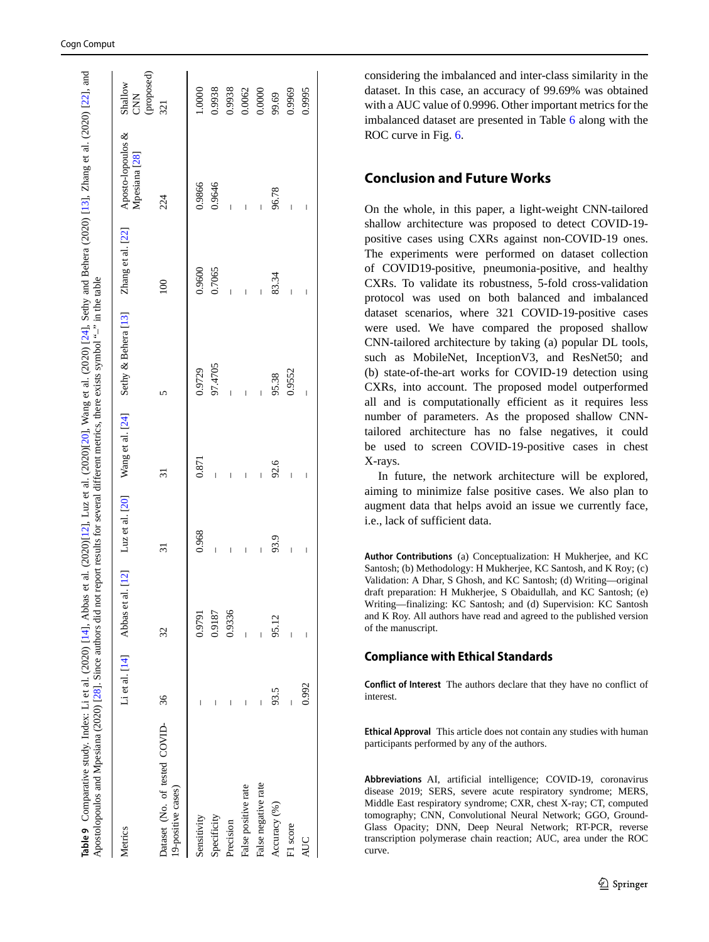| Apostolopoulos and Mpesiana (2020) [28]. Since authors did not report results for several different metrics, there exists symbol $4^{+2}$ in the table<br>Table 9 Comparative study. Index: Li et al. (2020) [14], Abbas |       |        |                          |                | et al. (2020)[12], Luz et al. (2020)[20], Wang et al. (2020) [24], Sethy and Behera (2020) [13], Zhang et al. (2020) [22], and |                |                          |                                     |
|--------------------------------------------------------------------------------------------------------------------------------------------------------------------------------------------------------------------------|-------|--------|--------------------------|----------------|--------------------------------------------------------------------------------------------------------------------------------|----------------|--------------------------|-------------------------------------|
| Metrics                                                                                                                                                                                                                  |       |        |                          |                | Li et al. [14] Abbas et al. [12] Luz et al. [20] Wang et al. [24] Sethy & Behera [13] Zhang et al. [22] Aposto-lopoulos &      |                | Mpesiana <sup>[28]</sup> | (proposed)<br>Shallow<br><b>CNN</b> |
| Dataset (No. of tested COVID-<br>19-positive cases)                                                                                                                                                                      | 36    | 32     | 31                       | ಸ              |                                                                                                                                | $\approx$      | 224                      | 321                                 |
| Sensitivity                                                                                                                                                                                                              |       | 0.9791 | 0.968                    | 0.871          | 0.9729                                                                                                                         | 0.9600         | 0.9866                   | 1.0000                              |
| Specificity                                                                                                                                                                                                              |       | 0.9187 |                          |                | 97.4705                                                                                                                        | 0.7065         | 0.9646                   | 0.9938                              |
| Precision                                                                                                                                                                                                                |       | 0.9336 | $\overline{\phantom{a}}$ | $\overline{1}$ |                                                                                                                                | $\overline{1}$ |                          | 0.9938                              |
| False positive rate                                                                                                                                                                                                      |       |        | I                        | Ï              |                                                                                                                                | Ī              |                          | 0.0062                              |
| False negative rate                                                                                                                                                                                                      |       |        |                          |                |                                                                                                                                | I              |                          | 0.0000                              |
| Accuracy (%)                                                                                                                                                                                                             | 93.5  | 95.12  | 93.9                     | 92.6           | 95.38                                                                                                                          | 83.34          | 96.78                    | 99.69                               |
| F1 score                                                                                                                                                                                                                 |       |        |                          | Ï              | 0.9552                                                                                                                         | Ï              |                          | 0.9969                              |
| <b>AUC</b>                                                                                                                                                                                                               | 0.992 | I      | I                        |                |                                                                                                                                | I              | Ī                        | 0.9995                              |

considering the imbalanced and inter-class similarity in the dataset. In this case, an accuracy of 99.69% was obtained with a AUC value of 0.9996. Other important metrics for the imbalanced dataset are presented in Table [6](#page-8-0) along with the ROC curve in Fig. [6](#page-8-1).

## **Conclusion and Future Works**

On the whole, in this paper, a light-weight CNN-tailored shallow architecture was proposed to detect COVID-19 positive cases using CXRs against non-COVID-19 ones. The experiments were performed on dataset collection of COVID19-positive, pneumonia-positive, and healthy CXRs. To validate its robustness, 5-fold cross-validation protocol was used on both balanced and imbalanced dataset scenarios, where 321 COVID-19-positive cases were used. We have compared the proposed shallow CNN-tailored architecture by taking (a) popular DL tools, such as MobileNet, InceptionV3, and ResNet50; and (b) state-of-the-art works for COVID-19 detection using CXRs, into account. The proposed model outperformed all and is computationally efficient as it requires less number of parameters. As the proposed shallow CNNtailored architecture has no false negatives, it could be used to screen COVID-19-positive cases in chest X-rays.

In future, the network architecture will be explored, aiming to minimize false positive cases. We also plan to augment data that helps avoid an issue we currently face, i.e., lack of sufficient data.

**Author Contributions** (a) Conceptualization: H Mukherjee, and KC Santosh; (b) Methodology: H Mukherjee, KC Santosh, and K Roy; (c) Validation: A Dhar, S Ghosh, and KC Santosh; (d) Writing—original draft preparation: H Mukherjee, S Obaidullah, and KC Santosh; (e) Writing—finalizing: KC Santosh; and (d) Supervision: KC Santosh and K Roy. All authors have read and agreed to the published version of the manuscript.

#### **Compliance with Ethical Standards**

**Conflict of Interest** The authors declare that they have no conflict of interest.

<span id="page-10-0"></span>**Ethical Approval** This article does not contain any studies with human participants performed by any of the authors.

**Abbreviations** AI, artificial intelligence; COVID-19, coronavirus disease 2019; SERS, severe acute respiratory syndrome; MERS, Middle East respiratory syndrome; CXR, chest X-ray; CT, computed tomography; CNN, Convolutional Neural Network; GGO, Ground-Glass Opacity; DNN, Deep Neural Network; RT-PCR, reverse transcription polymerase chain reaction; AUC, area under the ROC curve.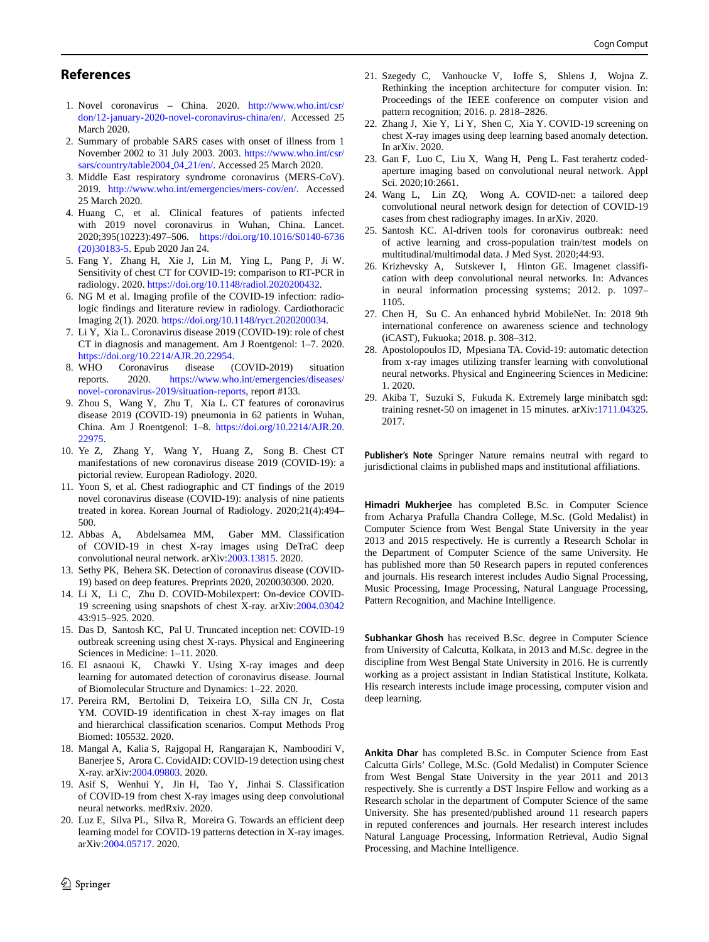#### **References**

- <span id="page-11-0"></span>1. Novel coronavirus – China. 2020. [http://www.who.int/csr/](http://www.who.int/csr/don/12-january-2020-novel-coronavirus-china/en/) [don/12-january-2020-novel-coronavirus-china/en/.](http://www.who.int/csr/don/12-january-2020-novel-coronavirus-china/en/) Accessed 25 March 2020.
- <span id="page-11-1"></span>2. Summary of probable SARS cases with onset of illness from 1 November 2002 to 31 July 2003. 2003. [https://www.who.int/csr/](https://www.who.int/csr/sars/country/table2004_04_21/en/) [sars/country/table2004](https://www.who.int/csr/sars/country/table2004_04_21/en/) 04 21/en/. Accessed 25 March 2020.
- <span id="page-11-2"></span>3. Middle East respiratory syndrome coronavirus (MERS-CoV). 2019. [http://www.who.int/emergencies/mers-cov/en/.](http://www.who.int/emergencies/mers-cov/en/) Accessed 25 March 2020.
- <span id="page-11-4"></span>4. Huang C, et al. Clinical features of patients infected with 2019 novel coronavirus in Wuhan, China. Lancet. 2020;395(10223):497–506. [https://doi.org/10.1016/S0140-6736](https://doi.org/10.1016/S0140-6736(20)30183-5) [\(20\)30183-5.](https://doi.org/10.1016/S0140-6736(20)30183-5) Epub 2020 Jan 24.
- <span id="page-11-5"></span>5. Fang Y, Zhang H, Xie J, Lin M, Ying L, Pang P, Ji W. Sensitivity of chest CT for COVID-19: comparison to RT-PCR in radiology. 2020. [https://doi.org/10.1148/radiol.2020200432.](https://doi.org/10.1148/radiol.2020200432)
- 6. NG M et al. Imaging profile of the COVID-19 infection: radiologic findings and literature review in radiology. Cardiothoracic Imaging 2(1). 2020. [https://doi.org/10.1148/ryct.2020200034.](https://doi.org/10.1148/ryct.2020200034)
- <span id="page-11-6"></span>7. Li Y, Xia L. Coronavirus disease 2019 (COVID-19): role of chest CT in diagnosis and management. Am J Roentgenol: 1–7. 2020. [https://doi.org/10.2214/AJR.20.22954.](https://doi.org/10.2214/AJR.20.22954)
- <span id="page-11-3"></span>8. WHO Coronavirus disease (COVID-2019) situation reports. 2020. [https://www.who.int/emergencies/diseases/](https://www.who.int/emergencies/diseases/novel-coronavirus-2019/situation-reports) [novel-coronavirus-2019/situation-reports,](https://www.who.int/emergencies/diseases/novel-coronavirus-2019/situation-reports) report #133.
- <span id="page-11-7"></span>9. Zhou S, Wang Y, Zhu T, Xia L. CT features of coronavirus disease 2019 (COVID-19) pneumonia in 62 patients in Wuhan, China. Am J Roentgenol: 1–8. [https://doi.org/10.2214/AJR.20.](https://doi.org/10.2214/AJR.20.22975) [22975.](https://doi.org/10.2214/AJR.20.22975)
- <span id="page-11-8"></span>10. Ye Z, Zhang Y, Wang Y, Huang Z, Song B. Chest CT manifestations of new coronavirus disease 2019 (COVID-19): a pictorial review. European Radiology. 2020.
- <span id="page-11-9"></span>11. Yoon S, et al. Chest radiographic and CT findings of the 2019 novel coronavirus disease (COVID-19): analysis of nine patients treated in korea. Korean Journal of Radiology. 2020;21(4):494– 500.
- <span id="page-11-24"></span>12. Abbas A, Abdelsamea MM, Gaber MM. Classification of COVID-19 in chest X-ray images using DeTraC deep convolutional neural network. arXiv[:2003.13815.](http://arxiv.org/abs/2003.13815) 2020.
- <span id="page-11-10"></span>13. Sethy PK, Behera SK. Detection of coronavirus disease (COVID-19) based on deep features. Preprints 2020, 2020030300. 2020.
- <span id="page-11-26"></span>14. Li X, Li C, Zhu D. COVID-Mobilexpert: On-device COVID-19 screening using snapshots of chest X-ray. arXiv[:2004.03042](http://arxiv.org/abs/2004.03042) 43:915–925. 2020.
- <span id="page-11-13"></span>15. Das D, Santosh KC, Pal U. Truncated inception net: COVID-19 outbreak screening using chest X-rays. Physical and Engineering Sciences in Medicine: 1–11. 2020.
- <span id="page-11-14"></span>16. El asnaoui K, Chawki Y. Using X-ray images and deep learning for automated detection of coronavirus disease. Journal of Biomolecular Structure and Dynamics: 1–22. 2020.
- <span id="page-11-15"></span>17. Pereira RM, Bertolini D, Teixeira LO, Silla CN Jr, Costa YM. COVID-19 identification in chest X-ray images on flat and hierarchical classification scenarios. Comput Methods Prog Biomed: 105532. 2020.
- <span id="page-11-16"></span>18. Mangal A, Kalia S, Rajgopal H, Rangarajan K, Namboodiri V, Banerjee S, Arora C. CovidAID: COVID-19 detection using chest X-ray. arXiv[:2004.09803.](http://arxiv.org/abs/2004.09803) 2020.
- <span id="page-11-17"></span>19. Asif S, Wenhui Y, Jin H, Tao Y, Jinhai S. Classification of COVID-19 from chest X-ray images using deep convolutional neural networks. medRxiv. 2020.
- <span id="page-11-25"></span>20. Luz E, Silva PL, Silva R, Moreira G. Towards an efficient deep learning model for COVID-19 patterns detection in X-ray images. arXiv[:2004.05717.](http://arxiv.org/abs/2004.05717) 2020.
- <span id="page-11-22"></span>21. Szegedy C, Vanhoucke V, Ioffe S, Shlens J, Wojna Z. Rethinking the inception architecture for computer vision. In: Proceedings of the IEEE conference on computer vision and pattern recognition; 2016. p. 2818–2826.
- <span id="page-11-11"></span>22. Zhang J, Xie Y, Li Y, Shen C, Xia Y. COVID-19 screening on chest X-ray images using deep learning based anomaly detection. In arXiv. 2020.
- <span id="page-11-19"></span>23. Gan F, Luo C, Liu X, Wang H, Peng L. Fast terahertz codedaperture imaging based on convolutional neural network. Appl Sci. 2020;10:2661.
- <span id="page-11-12"></span>24. Wang L, Lin ZQ, Wong A. COVID-net: a tailored deep convolutional neural network design for detection of COVID-19 cases from chest radiography images. In arXiv. 2020.
- <span id="page-11-18"></span>25. Santosh KC. AI-driven tools for coronavirus outbreak: need of active learning and cross-population train/test models on multitudinal/multimodal data. J Med Syst. 2020;44:93.
- <span id="page-11-20"></span>26. Krizhevsky A, Sutskever I, Hinton GE. Imagenet classification with deep convolutional neural networks. In: Advances in neural information processing systems; 2012. p. 1097– 1105.
- <span id="page-11-21"></span>27. Chen H, Su C. An enhanced hybrid MobileNet. In: 2018 9th international conference on awareness science and technology (iCAST), Fukuoka; 2018. p. 308–312.
- <span id="page-11-27"></span>28. Apostolopoulos ID, Mpesiana TA. Covid-19: automatic detection from x-ray images utilizing transfer learning with convolutional neural networks. Physical and Engineering Sciences in Medicine: 1. 2020.
- <span id="page-11-23"></span>29. Akiba T, Suzuki S, Fukuda K. Extremely large minibatch sgd: training resnet-50 on imagenet in 15 minutes. arXiv[:1711.04325.](http://arxiv.org/abs/1711.04325) 2017.

**Publisher's Note** Springer Nature remains neutral with regard to jurisdictional claims in published maps and institutional affiliations.

**Himadri Mukherjee** has completed B.Sc. in Computer Science from Acharya Prafulla Chandra College, M.Sc. (Gold Medalist) in Computer Science from West Bengal State University in the year 2013 and 2015 respectively. He is currently a Research Scholar in the Department of Computer Science of the same University. He has published more than 50 Research papers in reputed conferences and journals. His research interest includes Audio Signal Processing, Music Processing, Image Processing, Natural Language Processing, Pattern Recognition, and Machine Intelligence.

**Subhankar Ghosh** has received B.Sc. degree in Computer Science from University of Calcutta, Kolkata, in 2013 and M.Sc. degree in the discipline from West Bengal State University in 2016. He is currently working as a project assistant in Indian Statistical Institute, Kolkata. His research interests include image processing, computer vision and deep learning.

**Ankita Dhar** has completed B.Sc. in Computer Science from East Calcutta Girls' College, M.Sc. (Gold Medalist) in Computer Science from West Bengal State University in the year 2011 and 2013 respectively. She is currently a DST Inspire Fellow and working as a Research scholar in the department of Computer Science of the same University. She has presented/published around 11 research papers in reputed conferences and journals. Her research interest includes Natural Language Processing, Information Retrieval, Audio Signal Processing, and Machine Intelligence.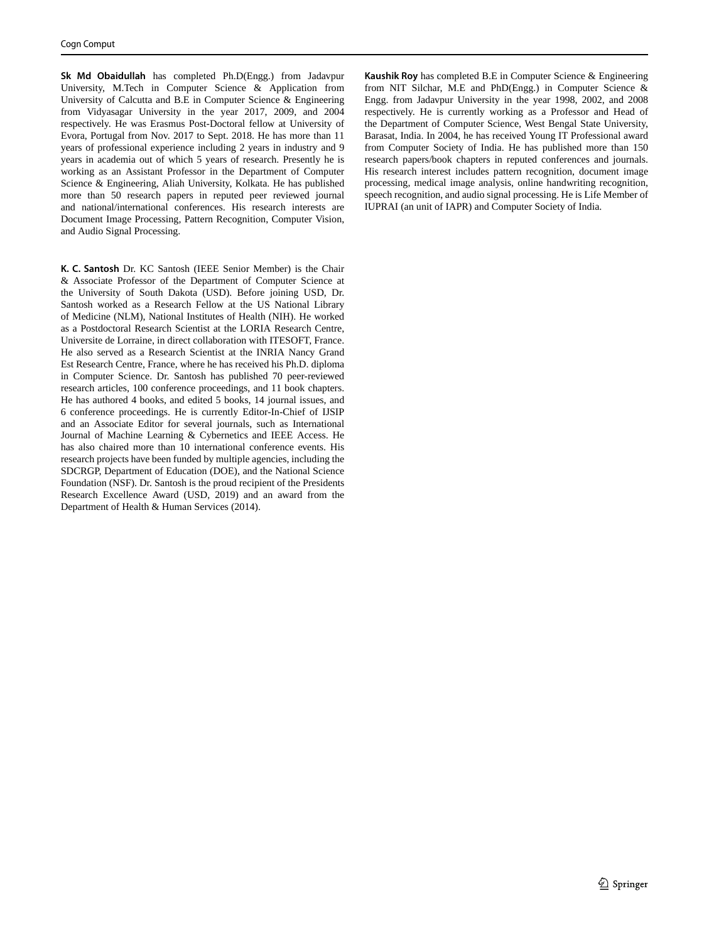**Sk Md Obaidullah** has completed Ph.D(Engg.) from Jadavpur University, M.Tech in Computer Science & Application from University of Calcutta and B.E in Computer Science & Engineering from Vidyasagar University in the year 2017, 2009, and 2004 respectively. He was Erasmus Post-Doctoral fellow at University of Evora, Portugal from Nov. 2017 to Sept. 2018. He has more than 11 years of professional experience including 2 years in industry and 9 years in academia out of which 5 years of research. Presently he is working as an Assistant Professor in the Department of Computer Science & Engineering, Aliah University, Kolkata. He has published more than 50 research papers in reputed peer reviewed journal and national/international conferences. His research interests are Document Image Processing, Pattern Recognition, Computer Vision, and Audio Signal Processing.

**K. C. Santosh** Dr. KC Santosh (IEEE Senior Member) is the Chair & Associate Professor of the Department of Computer Science at the University of South Dakota (USD). Before joining USD, Dr. Santosh worked as a Research Fellow at the US National Library of Medicine (NLM), National Institutes of Health (NIH). He worked as a Postdoctoral Research Scientist at the LORIA Research Centre, Universite de Lorraine, in direct collaboration with ITESOFT, France. He also served as a Research Scientist at the INRIA Nancy Grand Est Research Centre, France, where he has received his Ph.D. diploma in Computer Science. Dr. Santosh has published 70 peer-reviewed research articles, 100 conference proceedings, and 11 book chapters. He has authored 4 books, and edited 5 books, 14 journal issues, and 6 conference proceedings. He is currently Editor-In-Chief of IJSIP and an Associate Editor for several journals, such as International Journal of Machine Learning & Cybernetics and IEEE Access. He has also chaired more than 10 international conference events. His research projects have been funded by multiple agencies, including the SDCRGP, Department of Education (DOE), and the National Science Foundation (NSF). Dr. Santosh is the proud recipient of the Presidents Research Excellence Award (USD, 2019) and an award from the Department of Health & Human Services (2014).

**Kaushik Roy** has completed B.E in Computer Science & Engineering from NIT Silchar, M.E and PhD(Engg.) in Computer Science & Engg. from Jadavpur University in the year 1998, 2002, and 2008 respectively. He is currently working as a Professor and Head of the Department of Computer Science, West Bengal State University, Barasat, India. In 2004, he has received Young IT Professional award from Computer Society of India. He has published more than 150 research papers/book chapters in reputed conferences and journals. His research interest includes pattern recognition, document image processing, medical image analysis, online handwriting recognition, speech recognition, and audio signal processing. He is Life Member of IUPRAI (an unit of IAPR) and Computer Society of India.